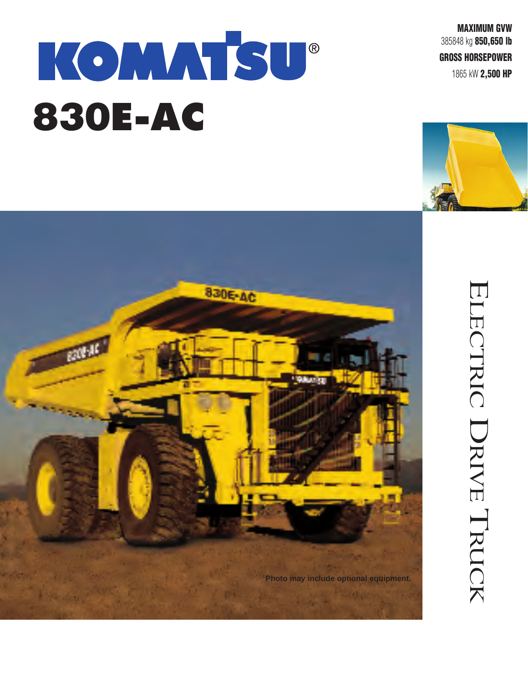## KOMMTSU® **830E-AC**

**MAXIMUM GVW** 385848 kg **850,650 lb**

**GROSS HORSEPOWER**

1865 kW **2,500 HP**





# ELECTRIC DRIVE  $\overline{\phantom{0}}$ RUCK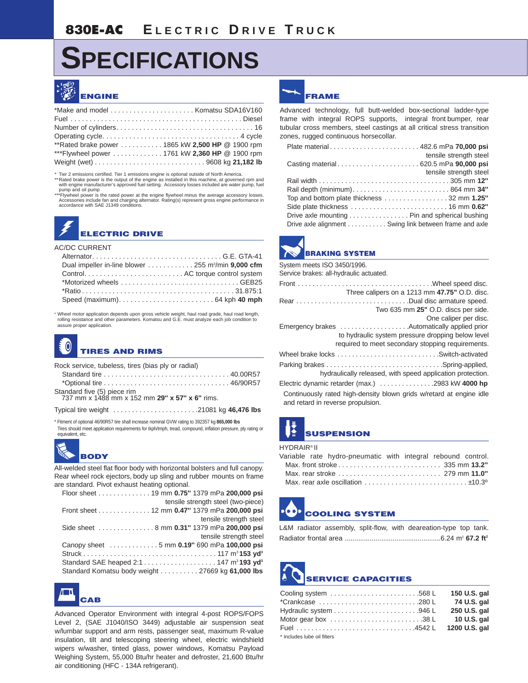## **SPECIFICATIONS**



| **Rated brake power 1865 kW 2,500 HP @ 1900 rpm |  |
|-------------------------------------------------|--|
| ***Flywheel power  1761 kW 2,360 HP @ 1900 rpm  |  |
|                                                 |  |

\* Tier 2 emissions certified. Tier 1 emissions engine is optional outside of North America.<br>\*\*Rated brake power is the output of the engine as installed in this machine, at governed rpm and<br>\* with engine manufacturer's app pump and oil pump

\*\*\*Flywheel power is the rated power at the engine flywheel minus the average accessory losses.<br>Accessories include fan and charging alternator. Rating(s) represent gross engine performance in<br>accordance with SAE J1349 con

### **ELECTRIC DRIVE**

#### AC/DC CURRENT

| Dual impeller in-line blower $\ldots \ldots \ldots \ldots 255$ m <sup>3</sup> /min <b>9,000 cfm</b> |  |
|-----------------------------------------------------------------------------------------------------|--|
|                                                                                                     |  |
|                                                                                                     |  |
|                                                                                                     |  |
|                                                                                                     |  |
|                                                                                                     |  |

\* Wheel motor application depends upon gross vehicle weight, haul road grade, haul road length, rolling resistance and other parameters. Komatsu and G.E. must analyze each job condition to assure proper application.

#### **TIRES AND RIMS**

Rock service, tubeless, tires (bias ply or radial)

| Standard five (5) piece rim<br>737 mm x 1488 mm x 152 mm 29" x 57" x 6" rims. |  |
|-------------------------------------------------------------------------------|--|
|                                                                               |  |

Typical tire weight . . . . . . . . . . . . . . . . . . . . . . .21081 kg **46,476 lbs**

\* Fitment of optional 46/90R57 tire shall increase nominal GVW rating to 392357 kg **865,000 lbs**

Tires should meet application requirements for tkph/tmph, tread, compound, inflation pressure, ply rating or equivalent, etc.



All-welded steel flat floor body with horizontal bolsters and full canopy. Rear wheel rock ejectors, body up sling and rubber mounts on frame are standard. Pivot exhaust heating optional.

| Floor sheet 19 mm 0.75" 1379 mPa 200,000 psi     |
|--------------------------------------------------|
| tensile strength steel (two-piece)               |
| Front sheet 12 mm 0.47" 1379 mPa 200,000 psi     |
| tensile strength steel                           |
| Side sheet  8 mm 0.31" 1379 mPa 200,000 psi      |
| tensile strength steel                           |
| Canopy sheet 5 mm 0.19" 690 mPa 100,000 psi      |
|                                                  |
|                                                  |
| Standard Komatsu body weight 27669 kg 61,000 lbs |



Advanced Operator Environment with integral 4-post ROPS/FOPS Level 2, (SAE J1040/ISO 3449) adjustable air suspension seat w/lumbar support and arm rests, passenger seat, maximum R-value insulation, tilt and telescoping steering wheel, electric windshield wipers w/washer, tinted glass, power windows, Komatsu Payload Weighing System, 55,000 Btu/hr heater and defroster, 21,600 Btu/hr air conditioning (HFC - 134A refrigerant).



Advanced technology, full butt-welded box-sectional ladder-type frame with integral ROPS supports, integral front bumper, rear tubular cross members, steel castings at all critical stress transition zones, rugged continuous horsecollar.

|                                                        | tensile strength steel |
|--------------------------------------------------------|------------------------|
|                                                        |                        |
|                                                        | tensile strength steel |
|                                                        |                        |
|                                                        |                        |
| Top and bottom plate thickness 32 mm 1.25"             |                        |
|                                                        |                        |
| Drive axle mounting Pin and spherical bushing          |                        |
| Drive axle alignment Swing link between frame and axle |                        |



System meets ISO 3450/1996. Service brakes: all-hydraulic actuated. Front . . . . . . . . . . . . . . . . . . . . . . . . . . . . . . . . . . . . .Wheel speed disc. Three calipers on a 1213 mm **47.75"** O.D. disc. Rear . . . . . . . . . . . . . . . . . . . . . . . . . . . . . . .Dual disc armature speed. Two 635 mm **25"** O.D. discs per side. One caliper per disc. Emergency brakes . . . . . . . . . . . . . . . . . . .Automatically applied prior to hydraulic system pressure dropping below level required to meet secondary stopping requirements. Wheel brake locks . . . . . . . . . . . . . . . . . . . . . . . . . . . .Switch-activated Parking brakes . . . . . . . . . . . . . . . . . . . . . . . . . . . . . . . .Spring-applied, hydraulically released, with speed application protection. Electric dynamic retarder (max.) . . . . . . . . . . . . . . .2983 kW **4000 hp** Continuously rated high-density blown grids w/retard at engine idle and retard in reverse propulsion.

## **SUSPENSION**

#### **HYDRAIR® II**

|  | Variable rate hydro-pneumatic with integral rebound control. |  |  |  |
|--|--------------------------------------------------------------|--|--|--|
|  |                                                              |  |  |  |
|  |                                                              |  |  |  |
|  |                                                              |  |  |  |

## **COOLING SYSTEM**

L&M radiator assembly, split-flow, with deareation-type top tank. Radiator frontal area ..................................................6.24 m2 **67.2 ft2**

## **SERVICE CAPACITIES**

| Cooling system $\ldots \ldots \ldots \ldots \ldots \ldots \ldots \ldots$ .568 L | 150 U.S. gal |
|---------------------------------------------------------------------------------|--------------|
| $*$ Crankcase 280 L                                                             | 74 U.S. gal  |
|                                                                                 | 250 U.S. gal |
| Motor gear box 38 L                                                             | 10 U.S. gal  |
|                                                                                 |              |
|                                                                                 |              |

Includes lube oil filters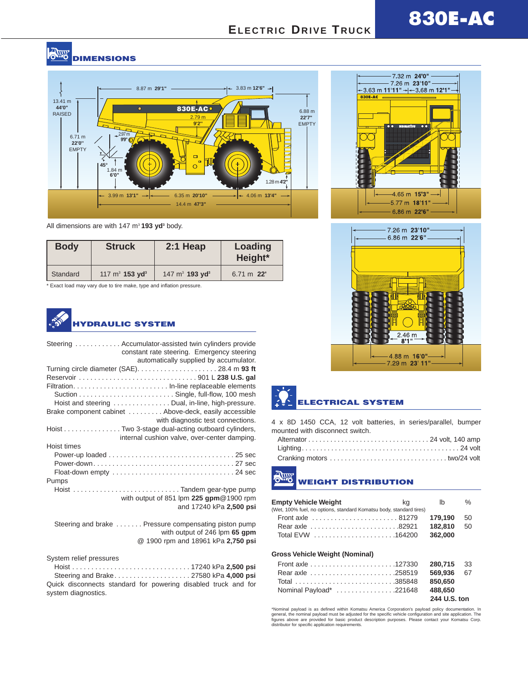#### **POINT DIMENSIONS**



All dimensions are with 147 m<sup>3</sup> 193 yd<sup>3</sup> body.

| <b>Body</b> | <b>Struck</b>                 | $2:1$ Heap                    | Loading<br>Height*   |
|-------------|-------------------------------|-------------------------------|----------------------|
| Standard    | 117 $m^3$ 153 yd <sup>3</sup> | 147 $m^3$ 193 yd <sup>3</sup> | $6.71 \text{ m}$ 22' |

\* Exact load may vary due to tire make, type and inflation pressure.



| Steering  Accumulator-assisted twin cylinders provide<br>constant rate steering. Emergency steering<br>automatically supplied by accumulator. |
|-----------------------------------------------------------------------------------------------------------------------------------------------|
|                                                                                                                                               |
|                                                                                                                                               |
|                                                                                                                                               |
|                                                                                                                                               |
| Hoist and steering Dual, in-line, high-pressure.                                                                                              |
| Brake component cabinet  Above-deck, easily accessible                                                                                        |
| with diagnostic test connections.                                                                                                             |
| Hoist Two 3-stage dual-acting outboard cylinders,                                                                                             |
| internal cushion valve, over-center damping.                                                                                                  |
| Hoist times                                                                                                                                   |
|                                                                                                                                               |
|                                                                                                                                               |
|                                                                                                                                               |
| Pumps                                                                                                                                         |
| Hoist Tandem gear-type pump                                                                                                                   |
| with output of 851 lpm $225$ gpm $@1900$ rpm                                                                                                  |
| and 17240 kPa 2,500 psi                                                                                                                       |
|                                                                                                                                               |
| Steering and brake  Pressure compensating piston pump                                                                                         |
| with output of 246 lpm 65 gpm                                                                                                                 |
| @ 1900 rpm and 18961 kPa 2,750 psi                                                                                                            |

System relief pressures

Hoist . . . . . . . . . . . . . . . . . . . . . . . . . . . . . . . 17240 kPa **2,500 psi** Steering and Brake. . . . . . . . . . . . . . . . . . . . 27580 kPa **4,000 psi** Quick disconnects standard for powering disabled truck and for system diagnostics.





## **ELECTRICAL SYSTEM**

4 x 8D 1450 CCA, 12 volt batteries, in series/parallel, bumper mounted with disconnect switch.

## **WEIGHT DISTRIBUTION**

| <b>Empty Vehicle Weight</b>                                         | kg | lb.     | $\%$ |
|---------------------------------------------------------------------|----|---------|------|
| (Wet, 100% fuel, no options, standard Komatsu body, standard tires) |    |         |      |
|                                                                     |    | 179.190 | 50   |
|                                                                     |    | 182.810 | 50   |
|                                                                     |    | 362.000 |      |
| Gross Vehicle Weight (Nominal)                                      |    |         |      |

| Rear axle 258519    569.936    67 |              |  |
|-----------------------------------|--------------|--|
| Total 385848 850,650              |              |  |
| Nominal Payload* 221648 488,650   |              |  |
|                                   | 244 U.S. ton |  |

"Nominal payload is as defined within Komatsu America Corporation's payload policy documentation. In<br>general, the nominal payload must be adjusted for the specific vehicle configuration and site application. The<br>figures ab